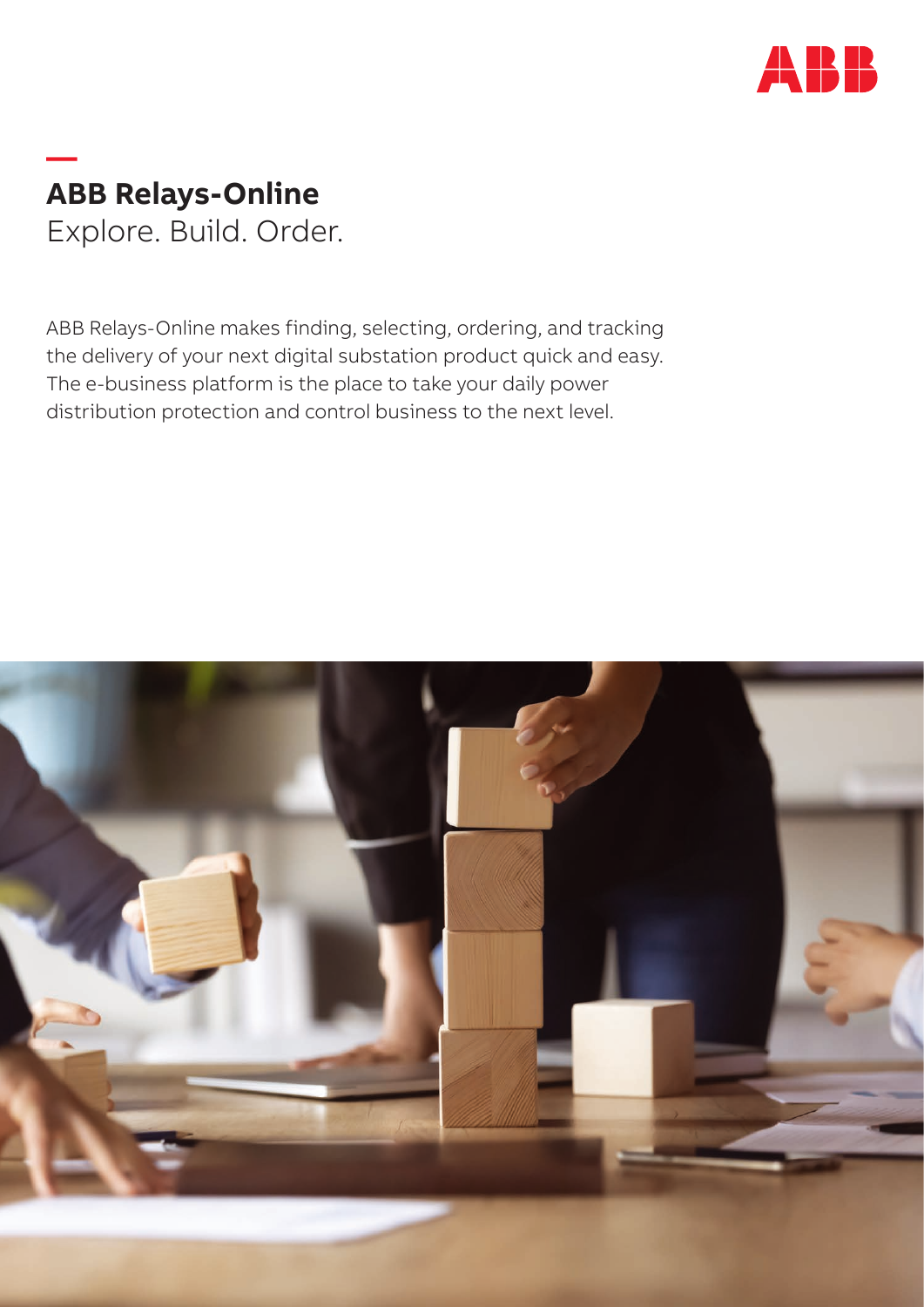

# **— ABB Relays-Online** Explore. Build. Order.

ABB Relays-Online makes finding, selecting, ordering, and tracking the delivery of your next digital substation product quick and easy. The e-business platform is the place to take your daily power distribution protection and control business to the next level.